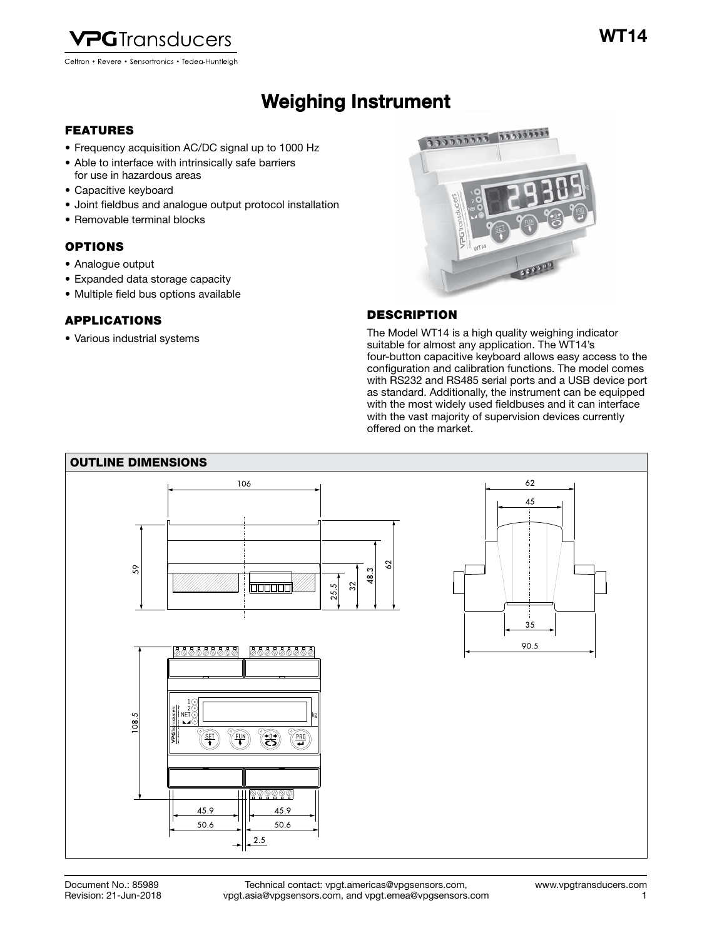

# Weighing Instrument Weighing Instrument

# FEATURES

- Frequency acquisition AC/DC signal up to 1000 Hz
- Able to interface with intrinsically safe barriers for use in hazardous areas
- Capacitive keyboard
- Joint fieldbus and analogue output protocol installation
- Removable terminal blocks

# OPTIONS

- Analogue output
- Expanded data storage capacity
- Multiple field bus options available

## APPLICATIONS

• Various industrial systems



# **DESCRIPTION**

The Model WT14 is a high quality weighing indicator suitable for almost any application. The WT14's four-button capacitive keyboard allows easy access to the configuration and calibration functions. The model comes with RS232 and RS485 serial ports and a USB device port as standard. Additionally, the instrument can be equipped with the most widely used fieldbuses and it can interface with the vast majority of supervision devices currently offered on the market.

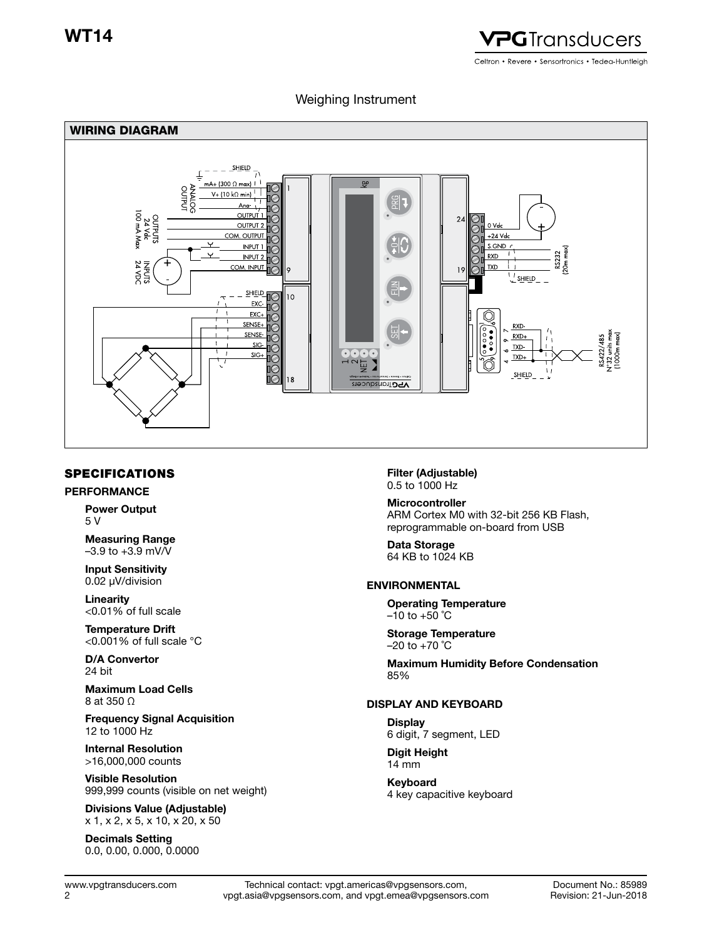

# Weighing Instrument



# SPECIFICATIONS

#### PERFORMANCE

Power Output 5 V

Measuring Range  $-3.9$  to  $+3.9$  mV/V

Input Sensitivity 0.02 μV/division

Linearity <0.01% of full scale

Temperature Drift <0.001% of full scale °C

D/A Convertor 24 bit

Maximum Load Cells 8 at 350 Ω

Frequency Signal Acquisition 12 to 1000 Hz

Internal Resolution >16,000,000 counts

Visible Resolution 999,999 counts (visible on net weight)

Divisions Value (Adjustable) x 1, x 2, x 5, x 10, x 20, x 50

Decimals Setting 0.0, 0.00, 0.000, 0.0000 Filter (Adjustable) 0.5 to 1000 Hz

Microcontroller ARM Cortex M0 with 32-bit 256 KB Flash, reprogrammable on-board from USB

Data Storage 64 KB to 1024 KB

## ENVIRONMENTAL

Operating Temperature  $-10$  to  $+50$  °C

Storage Temperature  $-20$  to  $+70$  °C

Maximum Humidity Before Condensation 85%

## DISPLAY AND KEYBOARD

**Display** 6 digit, 7 segment, LED

Digit Height 14 mm

Keyboard 4 key capacitive keyboard